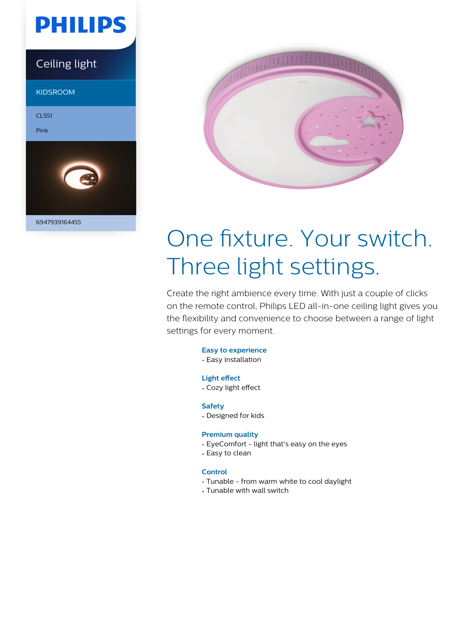

### Ceiling light

KIDSROOM

CL551

Pink





# One fixture. Your switch. Three light settings.

Create the right ambience every time. With just a couple of clicks on the remote control, Philips LED all-in-one ceiling light gives you the flexibility and convenience to choose between a range of light settings for every moment.

- **Easy to experience**
- Easy installation

#### **Light effect**

• Cozy light effect

#### **Safety**

• Designed for kids

#### **Premium quality**

- EyeComfort light that's easy on the eyes
- Easy to clean

#### **Control**

- Tunable from warm white to cool daylight
- Tunable with wall switch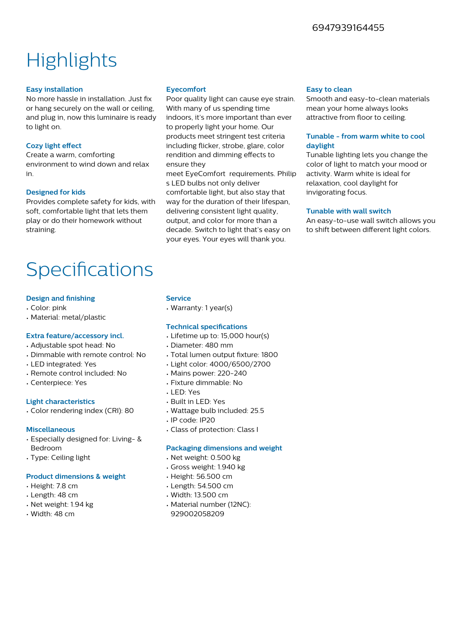#### 6947939164455

## **Highlights**

#### **Easy installation**

No more hassle in installation. Just fix or hang securely on the wall or ceiling, and plug in, now this luminaire is ready to light on.

#### **Cozy light effect**

Create a warm, comforting environment to wind down and relax in.

#### **Designed for kids**

Provides complete safety for kids, with soft, comfortable light that lets them play or do their homework without straining.

#### **Eyecomfort**

Poor quality light can cause eye strain. With many of us spending time indoors, it's more important than ever to properly light your home. Our products meet stringent test criteria including flicker, strobe, glare, color rendition and dimming effects to ensure they

meet EyeComfort requirements. Philip s LED bulbs not only deliver comfortable light, but also stay that way for the duration of their lifespan. delivering consistent light quality, output, and color for more than a decade. Switch to light that's easy on your eyes. Your eyes will thank you.

#### **Easy to clean**

Smooth and easy-to-clean materials mean your home always looks attractive from floor to ceiling.

#### **Tunable - from warm white to cool daylight**

Tunable lighting lets you change the color of light to match your mood or activity. Warm white is ideal for relaxation, cool daylight for invigorating focus.

#### **Tunable with wall switch**

An easy-to-use wall switch allows you to shift between different light colors.

## **Specifications**

#### **Design and finishing**

- Color: pink
- Material: metal/plastic

#### **Extra feature/accessory incl.**

- Adjustable spot head: No
- Dimmable with remote control: No
- LED integrated: Yes
- Remote control included: No
- Centerpiece: Yes

#### **Light characteristics**

• Color rendering index (CRI): 80

#### **Miscellaneous**

- Especially designed for: Living- & Bedroom
- Type: Ceiling light

#### **Product dimensions & weight**

- Height: 7.8 cm
- Length: 48 cm
- Net weight: 1.94 kg
- Width: 48 cm

#### **Service**

• Warranty: 1 year(s)

#### **Technical specifications**

- Lifetime up to: 15,000 hour(s)
- Diameter: 480 mm
- Total lumen output fixture: 1800
- Light color: 4000/6500/2700
- Mains power: 220-240
- Fixture dimmable: No
- LED: Yes
- Built in LED: Yes
- Wattage bulb included: 25.5
- IP code: IP20
- Class of protection: Class I

#### **Packaging dimensions and weight**

- Net weight: 0.500 kg
- Gross weight: 1.940 kg
- Height: 56.500 cm
- Length: 54.500 cm
- Width: 13.500 cm
- Material number (12NC): 929002058209